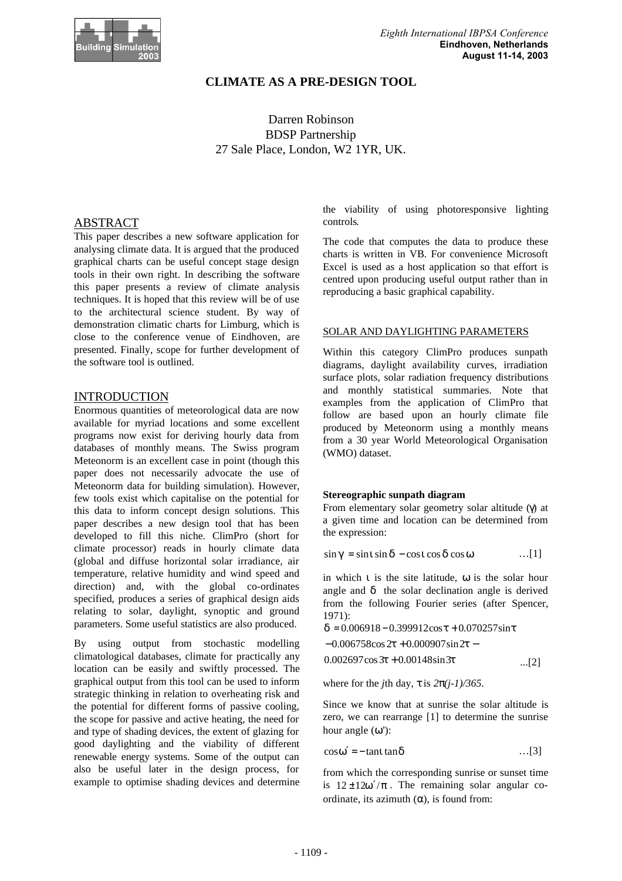

# **CLIMATE AS A PRE-DESIGN TOOL**

Darren Robinson BDSP Partnership 27 Sale Place, London, W2 1YR, UK.

# ABSTRACT

This paper describes a new software application for analysing climate data. It is argued that the produced graphical charts can be useful concept stage design tools in their own right. In describing the software this paper presents a review of climate analysis techniques. It is hoped that this review will be of use to the architectural science student. By way of demonstration climatic charts for Limburg, which is close to the conference venue of Eindhoven, are presented. Finally, scope for further development of the software tool is outlined.

# INTRODUCTION

Enormous quantities of meteorological data are now available for myriad locations and some excellent programs now exist for deriving hourly data from databases of monthly means. The Swiss program Meteonorm is an excellent case in point (though this paper does not necessarily advocate the use of Meteonorm data for building simulation). However, few tools exist which capitalise on the potential for this data to inform concept design solutions. This paper describes a new design tool that has been developed to fill this niche. ClimPro (short for climate processor) reads in hourly climate data (global and diffuse horizontal solar irradiance, air temperature, relative humidity and wind speed and direction) and, with the global co-ordinates specified, produces a series of graphical design aids relating to solar, daylight, synoptic and ground parameters. Some useful statistics are also produced.

By using output from stochastic modelling climatological databases, climate for practically any location can be easily and swiftly processed. The graphical output from this tool can be used to inform strategic thinking in relation to overheating risk and the potential for different forms of passive cooling, the scope for passive and active heating, the need for and type of shading devices, the extent of glazing for good daylighting and the viability of different renewable energy systems. Some of the output can also be useful later in the design process, for example to optimise shading devices and determine

the viability of using photoresponsive lighting controls*.*

The code that computes the data to produce these charts is written in VB. For convenience Microsoft Excel is used as a host application so that effort is centred upon producing useful output rather than in reproducing a basic graphical capability.

#### SOLAR AND DAYLIGHTING PARAMETERS

Within this category ClimPro produces sunpath diagrams, daylight availability curves, irradiation surface plots, solar radiation frequency distributions and monthly statistical summaries. Note that examples from the application of ClimPro that follow are based upon an hourly climate file produced by Meteonorm using a monthly means from a 30 year World Meteorological Organisation (WMO) dataset.

#### **Stereographic sunpath diagram**

From elementary solar geometry solar altitude (γ) at a given time and location can be determined from the expression:

$$
\sin g = \sin i \sin d - \cos i \cos d \cos w \qquad \qquad \ldots [1]
$$

in which *i* is the site latitude, *w* is the solar hour angle and *d* the solar declination angle is derived from the following Fourier series (after Spencer, 1971):

$$
\mathbf{d} = 0.006918 - 0.399912\cos \mathbf{t} + 0.070257\sin \mathbf{t}
$$
  
-0.006758\cos 2\mathbf{t} + 0.000907\sin 2\mathbf{t} -  
0.002697\cos 3\mathbf{t} + 0.00148\sin 3\mathbf{t} \qquad \qquad ...(2)

where for the *j*th day,  $\boldsymbol{t}$  is  $2\boldsymbol{p}(i-1)/365$ .

Since we know that at sunrise the solar altitude is zero, we can rearrange [1] to determine the sunrise hour angle (*w'*):

$$
\cos \mathbf{w}' = -\tan i \tan \mathbf{d} \tag{3}
$$

from which the corresponding sunrise or sunset time is  $12 \pm 12w'/p$ . The remaining solar angular coordinate, its azimuth (*a*), is found from: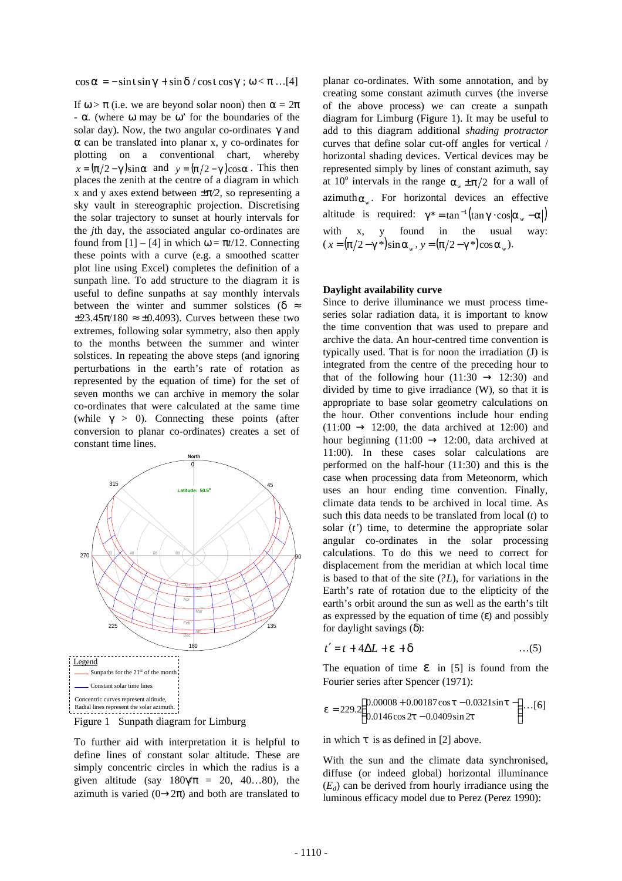#### $\cos a = -\sin i \sin g + \sin d / \cos i \cos g$ ;  $w < p$  …[4]

If  $w > p$  (i.e. we are beyond solar noon) then  $a = 2p$ - *a.* (where *w* may be *w'* for the boundaries of the solar day). Now, the two angular co-ordinates *g* and *a* can be translated into planar x, y co-ordinates for plotting on a conventional chart, whereby  $x = (p/2 - g)\sin a$  and  $y = (p/2 - g)\cos a$ . This then places the zenith at the centre of a diagram in which x and y axes extend between *±p/2*, so representing a sky vault in stereographic projection. Discretising the solar trajectory to sunset at hourly intervals for the *j*th day, the associated angular co-ordinates are found from  $[1] - [4]$  in which  $w = pt/12$ . Connecting these points with a curve (e.g. a smoothed scatter plot line using Excel) completes the definition of a sunpath line. To add structure to the diagram it is useful to define sunpaths at say monthly intervals between the winter and summer solstices ( $\mathbf{d} \approx$  $\pm 23.45\pi/180 \approx \pm 0.4093$ . Curves between these two extremes, following solar symmetry, also then apply to the months between the summer and winter solstices. In repeating the above steps (and ignoring perturbations in the earth's rate of rotation as represented by the equation of time) for the set of seven months we can archive in memory the solar co-ordinates that were calculated at the same time (while  $g > 0$ ). Connecting these points (after conversion to planar co-ordinates) creates a set of constant time lines.





To further aid with interpretation it is helpful to define lines of constant solar altitude. These are simply concentric circles in which the radius is a given altitude (say  $180g/p = 20, 40...80$ ), the azimuth is varied  $(0\rightarrow 2\pi)$  and both are translated to planar co-ordinates. With some annotation, and by creating some constant azimuth curves (the inverse of the above process) we can create a sunpath diagram for Limburg (Figure 1). It may be useful to add to this diagram additional *shading protractor* curves that define solar cut-off angles for vertical / horizontal shading devices. Vertical devices may be represented simply by lines of constant azimuth, say at 10<sup>°</sup> intervals in the range  $a_w \pm p/2$  for a wall of azimuth  $a_w$ . For horizontal devices an effective altitude is required:  $g^* = \tan^{-1}(\tan g \cdot \cos |a_w - a|)$ with x, y found in the usual way:  $(x = (p/2 - g^*)\sin a_w, y = (p/2 - g^*)\cos a_w$ .

#### **Daylight availability curve**

Since to derive illuminance we must process timeseries solar radiation data, it is important to know the time convention that was used to prepare and archive the data. An hour-centred time convention is typically used. That is for noon the irradiation (J) is integrated from the centre of the preceding hour to that of the following hour  $(11:30 \rightarrow 12:30)$  and divided by time to give irradiance (W), so that it is appropriate to base solar geometry calculations on the hour. Other conventions include hour ending  $(11:00 \rightarrow 12:00$ , the data archived at 12:00) and hour beginning  $(11:00 \rightarrow 12:00$ , data archived at 11:00). In these cases solar calculations are performed on the half-hour (11:30) and this is the case when processing data from Meteonorm, which uses an hour ending time convention. Finally, climate data tends to be archived in local time. As such this data needs to be translated from local (*t*) to solar (*t'*) time, to determine the appropriate solar angular co-ordinates in the solar processing calculations. To do this we need to correct for displacement from the meridian at which local time is based to that of the site (*?L*), for variations in the Earth's rate of rotation due to the elipticity of the earth's orbit around the sun as well as the earth's tilt as expressed by the equation of time (*e*) and possibly for daylight savings (*d*):

$$
t' = t + 4\Delta L + \mathbf{e} + \mathbf{d} \tag{5}
$$

The equation of time *e* in [5] is found from the Fourier series after Spencer (1971):

$$
\mathbf{e} = 229.2 \left( \begin{array}{c} 0.00008 + 0.00187 \cos \mathbf{t} - 0.0321 \sin \mathbf{t} - \\ 0.0146 \cos 2\mathbf{t} - 0.0409 \sin 2\mathbf{t} \end{array} \right) \dots [6]
$$

in which *t* is as defined in [2] above.

With the sun and the climate data synchronised, diffuse (or indeed global) horizontal illuminance  $(E_d)$  can be derived from hourly irradiance using the luminous efficacy model due to Perez (Perez 1990):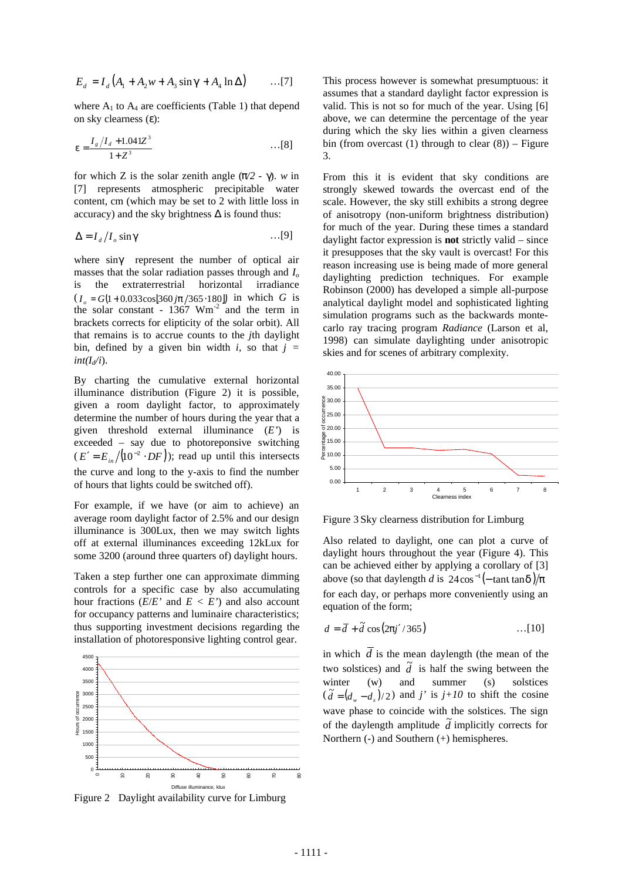$$
E_d = I_d (A_1 + A_2 w + A_3 \sin \mathbf{g} + A_4 \ln \Delta) \quad \dots [7]
$$

where  $A_1$  to  $A_4$  are coefficients (Table 1) that depend on sky clearness (*e*):

$$
e = \frac{I_g/I_d + 1.041Z^3}{1 + Z^3} \qquad \qquad \dots [8]
$$

for which Z is the solar zenith angle  $(p/2 - g)$ . *w* in [7] represents atmospheric precipitable water content, cm (which may be set to 2 with little loss in accuracy) and the sky brightness  $\Delta$  is found thus:

$$
\Delta = I_d / I_o \sin \mathbf{g} \tag{9}
$$

where sing represent the number of optical air masses that the solar radiation passes through and *I<sup>o</sup>* is the extraterrestrial horizontal irradiance  $(I_o = G(1 + 0.033 \cos[360 j\mathbf{p}/365 \cdot 180])$  in which *G* is the solar constant -  $1367$  Wm<sup>-2</sup> and the term in brackets corrects for elipticity of the solar orbit). All that remains is to accrue counts to the *j*th daylight bin, defined by a given bin width  $i$ , so that  $j =$  $int(I_d/i)$ .

By charting the cumulative external horizontal illuminance distribution (Figure 2) it is possible, given a room daylight factor, to approximately determine the number of hours during the year that a given threshold external illuminance (*E'*) is exceeded – say due to photoreponsive switching  $(E' = E_{in} / (10^{-2} \cdot DF))$ ; read up until this intersects the curve and long to the y-axis to find the number of hours that lights could be switched off).

For example, if we have (or aim to achieve) an average room daylight factor of 2.5% and our design illuminance is 300Lux, then we may switch lights off at external illuminances exceeding 12kLux for some 3200 (around three quarters of) daylight hours.

Taken a step further one can approximate dimming controls for a specific case by also accumulating hour fractions  $(E/E'$  and  $E < E'$ ) and also account for occupancy patterns and luminaire characteristics; thus supporting investment decisions regarding the installation of photoresponsive lighting control gear.



Figure 2 Daylight availability curve for Limburg

This process however is somewhat presumptuous: it assumes that a standard daylight factor expression is valid. This is not so for much of the year. Using [6] above, we can determine the percentage of the year during which the sky lies within a given clearness bin (from overcast  $(1)$  through to clear  $(8)$ ) – Figure 3.

From this it is evident that sky conditions are strongly skewed towards the overcast end of the scale. However, the sky still exhibits a strong degree of anisotropy (non-uniform brightness distribution) for much of the year. During these times a standard daylight factor expression is **not** strictly valid – since it presupposes that the sky vault is overcast! For this reason increasing use is being made of more general daylighting prediction techniques. For example Robinson (2000) has developed a simple all-purpose analytical daylight model and sophisticated lighting simulation programs such as the backwards montecarlo ray tracing program *Radiance* (Larson et al, 1998) can simulate daylighting under anisotropic skies and for scenes of arbitrary complexity.



Figure 3 Sky clearness distribution for Limburg

Also related to daylight, one can plot a curve of daylight hours throughout the year (Figure 4). This can be achieved either by applying a corollary of [3] above (so that daylength *d* is  $24\cos^{-1}(-\tan i \tan d)/p$ for each day, or perhaps more conveniently using an equation of the form;

$$
d = \overline{d} + \widetilde{d} \cos(2\mathbf{p}j'/365) \qquad \qquad \dots [10]
$$

in which  $\overline{d}$  is the mean daylength (the mean of the two solstices) and  $\tilde{d}$  is half the swing between the winter (w) and summer (s) solstices  $(\tilde{d} = (d_w - d_s)/2)$  and *j'* is *j+10* to shift the cosine wave phase to coincide with the solstices. The sign of the daylength amplitude  $\tilde{d}$  implicitly corrects for Northern (-) and Southern (+) hemispheres.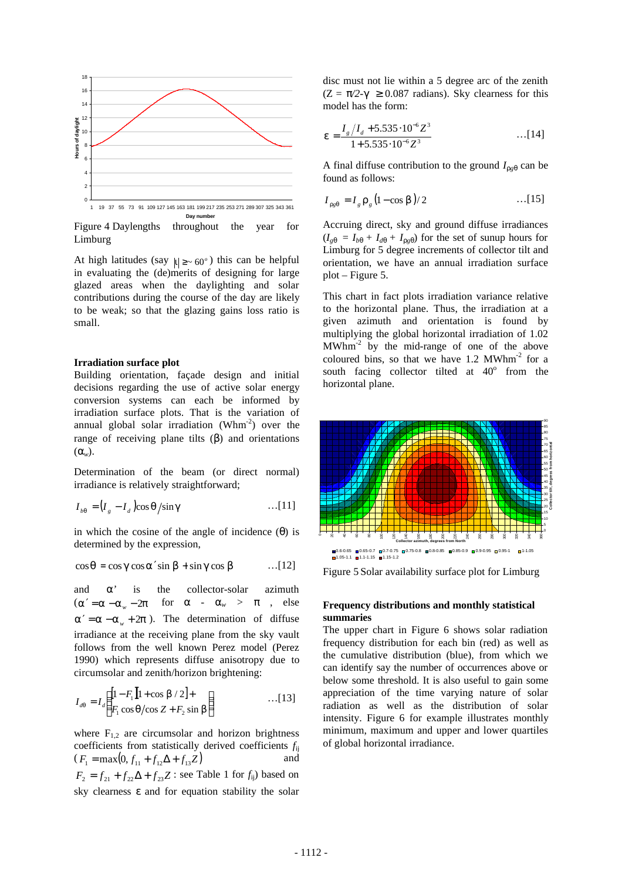

Figure 4 Daylengths throughout the year for Limburg

At high latitudes (say  $|\mathbf{i}| \geq 60^\circ$ ) this can be helpful in evaluating the (de)merits of designing for large glazed areas when the daylighting and solar contributions during the course of the day are likely to be weak; so that the glazing gains loss ratio is small.

#### **Irradiation surface plot**

Building orientation, façade design and initial decisions regarding the use of active solar energy conversion systems can each be informed by irradiation surface plots. That is the variation of annual global solar irradiation ( $Whm^{-2}$ ) over the range of receiving plane tilts (*b*) and orientations (*aw*).

Determination of the beam (or direct normal) irradiance is relatively straightforward;

$$
I_{bq} = (I_g - I_d)\cos q/\sin g \qquad \qquad \dots [11]
$$

in which the cosine of the angle of incidence (*q*) is determined by the expression,

$$
\cos q = \cos g \cos a' \sin b + \sin g \cos b \qquad \qquad \ldots [12]
$$

and *a'* is the collector-solar azimuth  $(a' = a - a<sub>w</sub> - 2p$  for  $a - a<sub>w</sub> > p$ , else  $a' = a - a_y + 2p$ . The determination of diffuse irradiance at the receiving plane from the sky vault follows from the well known Perez model (Perez 1990) which represents diffuse anisotropy due to circumsolar and zenith/horizon brightening:

$$
I_{dq} = I_d \left( \frac{[1 - F_1][1 + \cos \mathbf{b} / 2] +}{F_1 \cos \mathbf{q} / \cos Z + F_2 \sin \mathbf{b}} \right) \tag{13}
$$

where  $F_{1,2}$  are circumsolar and horizon brightness coefficients from statistically derived coefficients *f*ij  $(F_1 = \max(0, f_{11} + f_{12}\Delta + f_{13}Z)$  and  $F_2 = f_{21} + f_{22}\Delta + f_{23}Z$ : see Table 1 for *f*<sub>ij</sub>) based on sky clearness *e* and for equation stability the solar

disc must not lie within a 5 degree arc of the zenith  $(Z = p/2-g \ge 0.087$  radians). Sky clearness for this model has the form:

$$
\mathbf{e} = \frac{I_s \left/ I_d + 5.535 \cdot 10^{-6} Z^3 \right.}{1 + 5.535 \cdot 10^{-6} Z^3} \qquad \qquad \dots [14]
$$

A final diffuse contribution to the ground  $I_{r g q}$  can be found as follows:

$$
I_{\text{rgq}} = I_{g} \mathbf{r}_{g} (1 - \cos \mathbf{b}) / 2 \qquad \qquad \dots [15]
$$

Accruing direct, sky and ground diffuse irradiances  $(I_{gq} = I_{bq} + I_{dq} + I_{rgq})$  for the set of sunup hours for Limburg for 5 degree increments of collector tilt and orientation, we have an annual irradiation surface plot – Figure 5.

This chart in fact plots irradiation variance relative to the horizontal plane. Thus, the irradiation at a given azimuth and orientation is found by multiplying the global horizontal irradiation of 1.02 MWhm-2 by the mid-range of one of the above coloured bins, so that we have  $1.2$  MWhm<sup>-2</sup> for a south facing collector tilted at  $40^{\circ}$  from the horizontal plane.



Figure 5 Solar availability surface plot for Limburg

# **Frequency distributions and monthly statistical summaries**

The upper chart in Figure 6 shows solar radiation frequency distribution for each bin (red) as well as the cumulative distribution (blue), from which we can identify say the number of occurrences above or below some threshold. It is also useful to gain some appreciation of the time varying nature of solar radiation as well as the distribution of solar intensity. Figure 6 for example illustrates monthly minimum, maximum and upper and lower quartiles of global horizontal irradiance.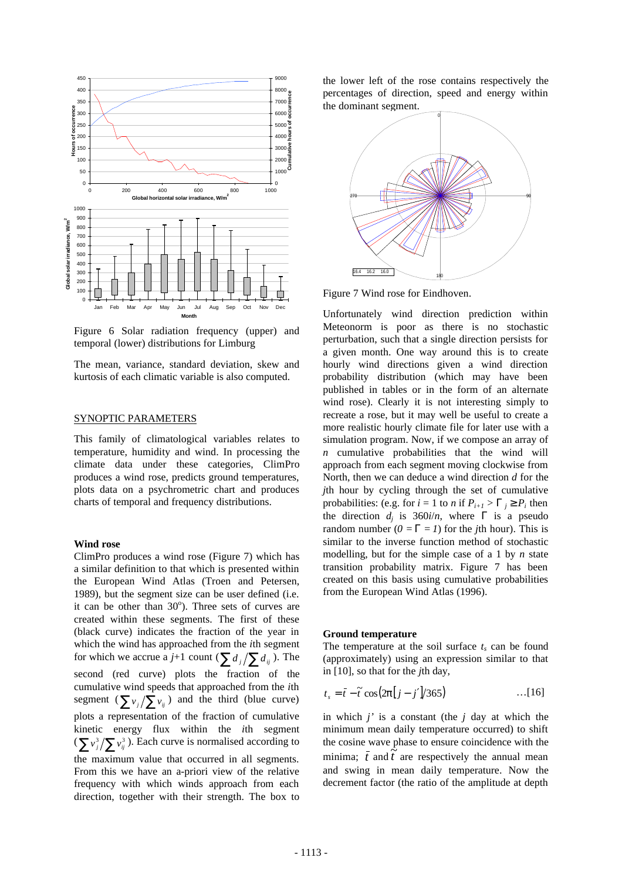

Figure 6 Solar radiation frequency (upper) and temporal (lower) distributions for Limburg

The mean, variance, standard deviation, skew and kurtosis of each climatic variable is also computed.

# SYNOPTIC PARAMETERS

This family of climatological variables relates to temperature, humidity and wind. In processing the climate data under these categories, ClimPro produces a wind rose, predicts ground temperatures, plots data on a psychrometric chart and produces charts of temporal and frequency distributions.

# **Wind rose**

ClimPro produces a wind rose (Figure 7) which has a similar definition to that which is presented within the European Wind Atlas (Troen and Petersen, 1989), but the segment size can be user defined (i.e. it can be other than  $30^{\circ}$ ). Three sets of curves are created within these segments. The first of these (black curve) indicates the fraction of the year in which the wind has approached from the *i*th segment for which we accrue a *j*+1 count ( $\sum d_i / \sum d_{ij}$ ). The second (red curve) plots the fraction of the cumulative wind speeds that approached from the *i*th segment  $(\sum v_j / \sum v_{ij})$  and the third (blue curve) plots a representation of the fraction of cumulative kinetic energy flux within the *i*th segment  $(\sum v_j^3 / \sum v_{ij}^3)$ . Each curve is normalised according to the maximum value that occurred in all segments. From this we have an a-priori view of the relative frequency with which winds approach from each direction, together with their strength. The box to the lower left of the rose contains respectively the percentages of direction, speed and energy within the dominant segment.



Figure 7 Wind rose for Eindhoven.

Unfortunately wind direction prediction within Meteonorm is poor as there is no stochastic perturbation, such that a single direction persists for a given month. One way around this is to create hourly wind directions given a wind direction probability distribution (which may have been published in tables or in the form of an alternate wind rose). Clearly it is not interesting simply to recreate a rose, but it may well be useful to create a more realistic hourly climate file for later use with a simulation program. Now, if we compose an array of *n* cumulative probabilities that the wind will approach from each segment moving clockwise from North, then we can deduce a wind direction *d* for the *j*th hour by cycling through the set of cumulative probabilities: (e.g. for  $i = 1$  to *n* if  $P_{i+1} > G_j \geq P_i$  then the direction  $d_i$  is 360*i/n*, where **G** is a pseudo random number  $(0 = \mathbf{G} = I)$  for the *j*th hour). This is similar to the inverse function method of stochastic modelling, but for the simple case of a 1 by *n* state transition probability matrix. Figure 7 has been created on this basis using cumulative probabilities from the European Wind Atlas (1996).

### **Ground temperature**

The temperature at the soil surface  $t_s$  can be found (approximately) using an expression similar to that in [10], so that for the *j*th day,

$$
t_s = \bar{t} - \tilde{t} \cos(2\boldsymbol{p}[j-j']/365) \qquad \qquad \dots [16]
$$

in which *j'* is a constant (the *j* day at which the minimum mean daily temperature occurred) to shift the cosine wave phase to ensure coincidence with the minima;  $\bar{t}$  and  $\tilde{t}$  are respectively the annual mean and swing in mean daily temperature. Now the decrement factor (the ratio of the amplitude at depth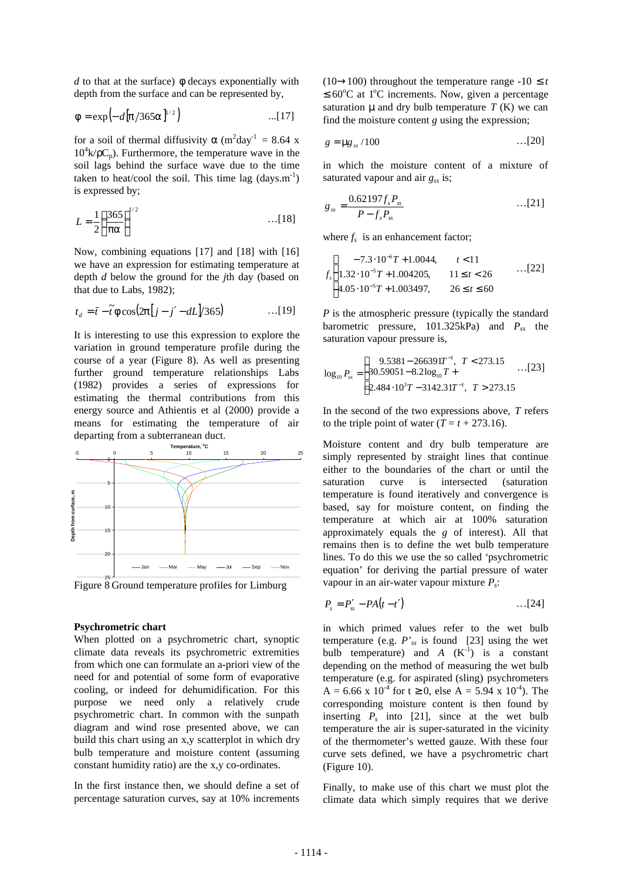*d* to that at the surface) *f* decays exponentially with depth from the surface and can be represented by,

$$
f = \exp(-d[p/365a]^{1/2})
$$
...(17)

for a soil of thermal diffusivity  $\boldsymbol{a}$  (m<sup>2</sup>day<sup>-1</sup> = 8.64 x  $10^4$ k/ $\rho C_p$ ). Furthermore, the temperature wave in the soil lags behind the surface wave due to the time taken to heat/cool the soil. This time lag  $(days.m^{-1})$ is expressed by;

$$
L = \frac{1}{2} \left( \frac{365}{\mathbf{p} \mathbf{a}} \right)^{1/2} \qquad \qquad \dots [18]
$$

Now, combining equations [17] and [18] with [16] we have an expression for estimating temperature at depth *d* below the ground for the *j*th day (based on that due to Labs, 1982);

$$
t_d = \bar{t} - \tilde{t} \mathbf{f} \cos(2\mathbf{p}[j - j' - dL]/365) \qquad \qquad \dots [19]
$$

It is interesting to use this expression to explore the variation in ground temperature profile during the course of a year (Figure 8). As well as presenting further ground temperature relationships Labs (1982) provides a series of expressions for estimating the thermal contributions from this energy source and Athientis et al (2000) provide a means for estimating the temperature of air departing from a subterranean duct.



# **Psychrometric chart**

When plotted on a psychrometric chart, synoptic climate data reveals its psychrometric extremities from which one can formulate an a-priori view of the need for and potential of some form of evaporative cooling, or indeed for dehumidification. For this purpose we need only a relatively crude psychrometric chart. In common with the sunpath diagram and wind rose presented above, we can build this chart using an x,y scatterplot in which dry bulb temperature and moisture content (assuming constant humidity ratio) are the x,y co-ordinates.

In the first instance then, we should define a set of percentage saturation curves, say at 10% increments  $(10\rightarrow100)$  throughout the temperature range -10  $\leq t$  $\leq 60^{\circ}$ C at 1<sup>o</sup>C increments. Now, given a percentage saturation **m** and dry bulb temperature  $T(K)$  we can find the moisture content *g* using the expression;

$$
g = \mathbf{mg}_{ss} / 100 \qquad \qquad \dots [20]
$$

in which the moisture content of a mixture of saturated vapour and air *gss* is;

$$
g_{ss} = \frac{0.62197 f_s P_{ss}}{P - f_s P_{ss}} \qquad \qquad \dots [21]
$$

where  $f_s$  is an enhancement factor;

$$
f_s \begin{cases}\n-7.3 \cdot 10^{-6} T + 1.0044, & t < 11 \\
1.32 \cdot 10^{-5} T + 1.004205, & 11 \le t < 26 \\
4.05 \cdot 10^{-5} T + 1.003497, & 26 \le t \le 60\n\end{cases}
$$
...(22)

*P* is the atmospheric pressure (typically the standard barometric pressure, 101.325kPa) and *Pss* the saturation vapour pressure is,

$$
\log_{10} P_{ss} = \begin{cases} 9.5381 - 266391T^{-1}, & T < 273.15 \\ 30.59051 - 8.2 \log_{10} T + \\ 2.484 \cdot 10^{3} T - 3142.31T^{-1}, & T > 273.15 \end{cases} \dots [23]
$$

In the second of the two expressions above, *T* refers to the triple point of water  $(T = t + 273.16)$ .

Moisture content and dry bulb temperature are simply represented by straight lines that continue either to the boundaries of the chart or until the saturation curve is intersected (saturation temperature is found iteratively and convergence is based, say for moisture content, on finding the temperature at which air at 100% saturation approximately equals the *g* of interest). All that remains then is to define the wet bulb temperature lines. To do this we use the so called 'psychrometric equation' for deriving the partial pressure of water vapour in an air-water vapour mixture *P<sup>s</sup>* :

$$
P_s = P'_{ss} - PA(t-t') \qquad \qquad \ldots [24]
$$

in which primed values refer to the wet bulb temperature (e.g. *P'ss* is found [23] using the wet bulb temperature) and  $A \, (K^{-1})$  is a constant depending on the method of measuring the wet bulb temperature (e.g. for aspirated (sling) psychrometers  $A = 6.66$  x 10<sup>-4</sup> for t  $\geq 0$ , else  $A = 5.94$  x 10<sup>-4</sup>). The corresponding moisture content is then found by inserting  $P_s$  into [21], since at the wet bulb temperature the air is super-saturated in the vicinity of the thermometer's wetted gauze. With these four curve sets defined, we have a psychrometric chart (Figure 10).

Finally, to make use of this chart we must plot the climate data which simply requires that we derive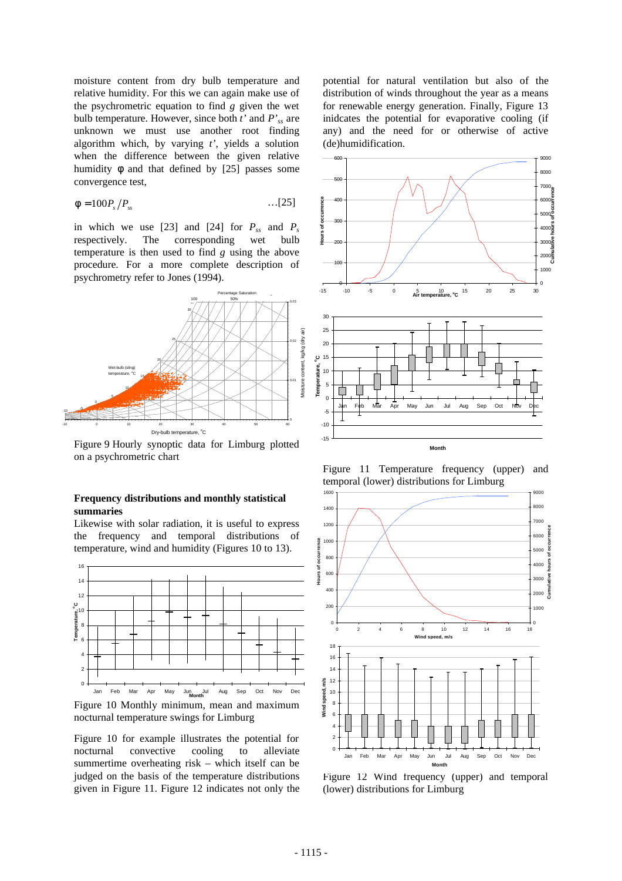moisture content from dry bulb temperature and relative humidity. For this we can again make use of the psychrometric equation to find *g* given the wet bulb temperature. However, since both *t'* and *P'ss* are unknown we must use another root finding algorithm which, by varying *t'*, yields a solution when the difference between the given relative humidity  $f$  and that defined by [25] passes some convergence test,

$$
\boldsymbol{f} = 100 P_s / P_{ss} \qquad \qquad \ldots \text{[25]}
$$

in which we use [23] and [24] for  $P_{ss}$  and  $P_s$ respectively. The corresponding wet bulb temperature is then used to find *g* using the above procedure. For a more complete description of psychrometry refer to Jones (1994).



Figure 9 Hourly synoptic data for Limburg plotted on a psychrometric chart

# **Frequency distributions and monthly statistical summaries**

Likewise with solar radiation, it is useful to express the frequency and temporal distributions of temperature, wind and humidity (Figures 10 to 13).



Figure 10 for example illustrates the potential for nocturnal convective cooling to alleviate summertime overheating risk – which itself can be judged on the basis of the temperature distributions given in Figure 11. Figure 12 indicates not only the

potential for natural ventilation but also of the distribution of winds throughout the year as a means for renewable energy generation. Finally, Figure 13 inidcates the potential for evaporative cooling (if any) and the need for or otherwise of active (de)humidification.



Figure 11 Temperature frequency (upper) and temporal (lower) distributions for Limburg



Figure 12 Wind frequency (upper) and temporal (lower) distributions for Limburg